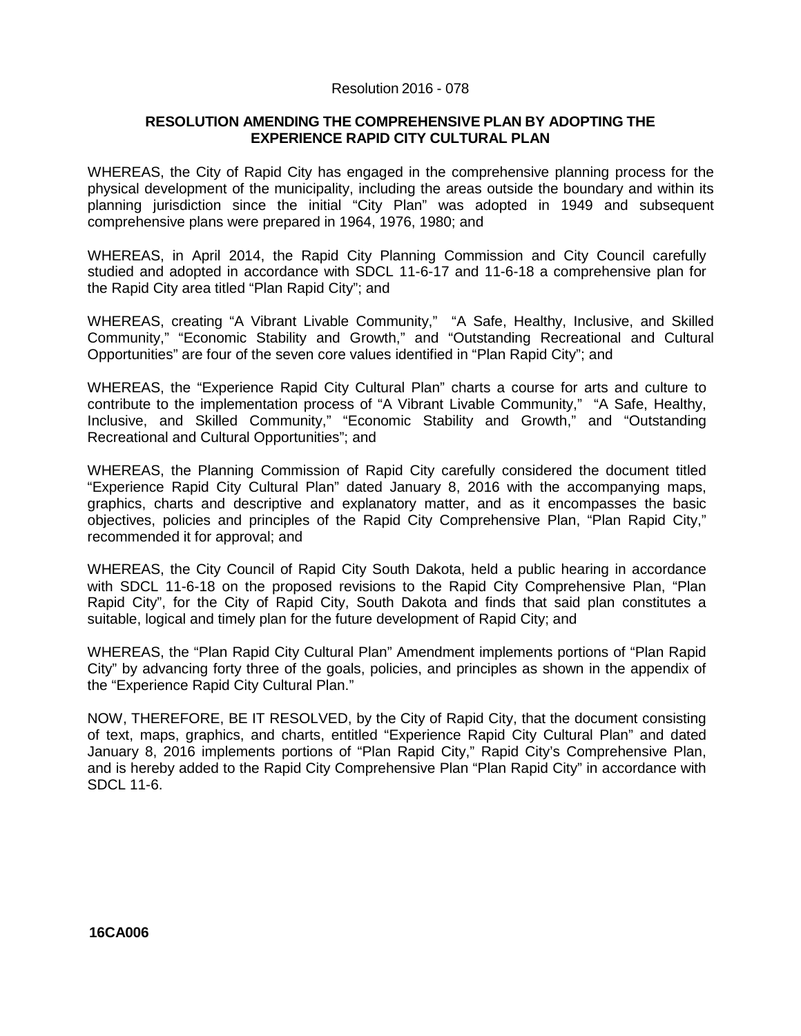## Resolution 2016 - 078

## **RESOLUTION AMENDING THE COMPREHENSIVE PLAN BY ADOPTING THE EXPERIENCE RAPID CITY CULTURAL PLAN**

WHEREAS, the City of Rapid City has engaged in the comprehensive planning process for the physical development of the municipality, including the areas outside the boundary and within its planning jurisdiction since the initial "City Plan" was adopted in 1949 and subsequent comprehensive plans were prepared in 1964, 1976, 1980; and

WHEREAS, in April 2014, the Rapid City Planning Commission and City Council carefully studied and adopted in accordance with SDCL 11-6-17 and 11-6-18 a comprehensive plan for the Rapid City area titled "Plan Rapid City"; and

WHEREAS, creating "A Vibrant Livable Community," "A Safe, Healthy, Inclusive, and Skilled Community," "Economic Stability and Growth," and "Outstanding Recreational and Cultural Opportunities" are four of the seven core values identified in "Plan Rapid City"; and

WHEREAS, the "Experience Rapid City Cultural Plan" charts a course for arts and culture to contribute to the implementation process of "A Vibrant Livable Community," "A Safe, Healthy, Inclusive, and Skilled Community," "Economic Stability and Growth," and "Outstanding Recreational and Cultural Opportunities"; and

WHEREAS, the Planning Commission of Rapid City carefully considered the document titled "Experience Rapid City Cultural Plan" dated January 8, 2016 with the accompanying maps, graphics, charts and descriptive and explanatory matter, and as it encompasses the basic objectives, policies and principles of the Rapid City Comprehensive Plan, "Plan Rapid City," recommended it for approval; and

WHEREAS, the City Council of Rapid City South Dakota, held a public hearing in accordance with SDCL 11-6-18 on the proposed revisions to the Rapid City Comprehensive Plan, "Plan Rapid City", for the City of Rapid City, South Dakota and finds that said plan constitutes a suitable, logical and timely plan for the future development of Rapid City; and

WHEREAS, the "Plan Rapid City Cultural Plan" Amendment implements portions of "Plan Rapid City" by advancing forty three of the goals, policies, and principles as shown in the appendix of the "Experience Rapid City Cultural Plan."

NOW, THEREFORE, BE IT RESOLVED, by the City of Rapid City, that the document consisting of text, maps, graphics, and charts, entitled "Experience Rapid City Cultural Plan" and dated January 8, 2016 implements portions of "Plan Rapid City," Rapid City's Comprehensive Plan, and is hereby added to the Rapid City Comprehensive Plan "Plan Rapid City" in accordance with SDCL 11-6.